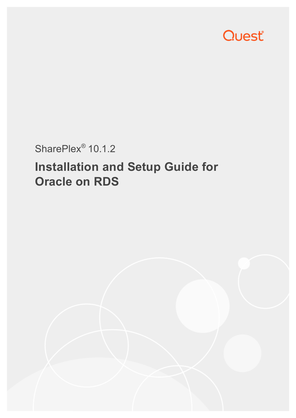

# SharePlex<sup>®</sup> 10.1.2

# **Installation and Setup Guide for Oracle on RDS**

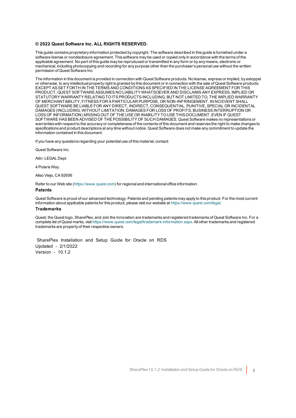#### **© 2022 Quest Software Inc. ALL RIGHTS RESERVED.**

This guide contains proprietary information protected by copyright. The software described in this guide is furnished under a software license or nondisclosure agreement. This software may be used or copied only in accordance with the terms of the applicable agreement. No part of this guide may be reproduced or transmitted in any form or by any means, electronic or mechanical, including photocopying and recording for any purpose other than the purchaser's personal use without the written permission of Quest Software Inc.

The information in this document is provided in connection with Quest Software products. No license, express or implied, by estoppel or otherwise, to any intellectual property right is granted by this document or in connection with the sale of Quest Software products. EXCEPT AS SET FORTH IN THE TERMS AND CONDITIONS AS SPECIFIED IN THE LICENSE AGREEMENT FOR THIS PRODUCT, QUEST SOFTWARE ASSUMES NO LIABILITY WHATSOEVER AND DISCLAIMS ANY EXPRESS, IMPLIED OR STATUTORY WARRANTY RELATING TO ITS PRODUCTS INCLUDING, BUT NOT LIMITED TO, THE IMPLIED WARRANTY OF MERCHANTABILITY, FITNESS FOR A PARTICULAR PURPOSE, OR NON-INFRINGEMENT. IN NO EVENT SHALL QUEST SOFTWARE BE LIABLE FOR ANY DIRECT, INDIRECT, CONSEQUENTIAL, PUNITIVE, SPECIAL OR INCIDENTAL DAMAGES (INCLUDING, WITHOUT LIMITATION, DAMAGES FOR LOSS OF PROFITS, BUSINESS INTERRUPTION OR LOSS OF INFORMATION) ARISING OUT OF THE USE OR INABILITY TO USE THIS DOCUMENT, EVEN IF QUEST SOFTWARE HAS BEEN ADVISED OF THE POSSIBILITY OF SUCH DAMAGES. Quest Software makes no representations or warranties with respect to the accuracy or completeness of the contents of this document and reserves the right to make changes to specifications and product descriptions at any time without notice. Quest Software does not make any commitment to update the information contained in this document.

If you have any questions regarding your potential use of this material, contact:

Quest Software Inc.

Attn: LEGAL Dept

4 PolarisWay

Aliso Viejo, CA 92656

Refer to our Web site ([https://www.quest.com](https://www.quest.com/)) for regional and international office information.

#### **Patents**

Quest Software is proud of our advanced technology. Patents and pending patents may apply to this product. For the most current information about applicable patents for this product, please visit our website at <https://www.quest.com/legal>.

#### **Trademarks**

Quest, the Quest logo, SharePlex, and Join the Innovation are trademarks and registered trademarks of Quest Software Inc. For a complete list of Quest marks, visit <https://www.quest.com/legal/trademark-information.aspx>. All other trademarks and registered trademarks are property of their respective owners.

SharePlex Installation and Setup Guide for Oracle on RDS Updated - 2/1/2022 Version - 10.1.2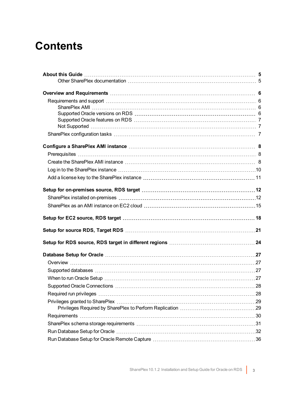# **Contents**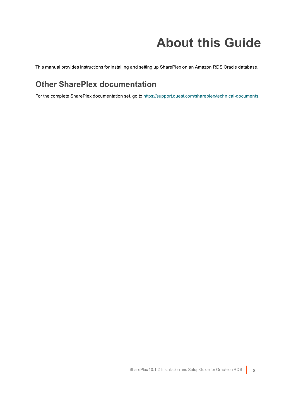# **About this Guide**

<span id="page-4-1"></span><span id="page-4-0"></span>This manual provides instructions for installing and setting up SharePlex on an Amazon RDS Oracle database.

# **Other SharePlex documentation**

For the complete SharePlex documentation set, go to [https://support.quest.com/shareplex/technical-documents.](https://support.quest.com/shareplex/technical-documents)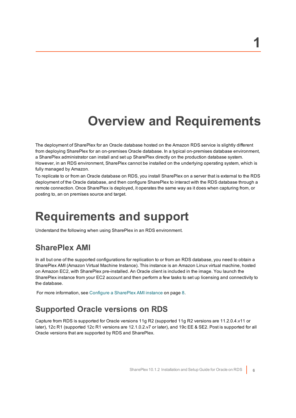# **Overview and Requirements**

<span id="page-5-0"></span>The deployment of SharePlex for an Oracle database hosted on the Amazon RDS service is slightly different from deploying SharePlex for an on-premises Oracle database. In a typical on-premises database environment, a SharePlex administrator can install and set up SharePlex directly on the production database system. However, in an RDS environment, SharePlex cannot be installed on the underlying operating system, which is fully managed by Amazon.

To replicate to or from an Oracle database on RDS, you install SharePlex on a server that is external to the RDS deployment of the Oracle database, and then configure SharePlex to interact with the RDS database through a remote connection. Once SharePlex is deployed, it operates the same way as it does when capturing from, or posting to, an on premises source and target.

# <span id="page-5-1"></span>**Requirements and support**

<span id="page-5-2"></span>Understand the following when using SharePlex in an RDS environment.

## **SharePlex AMI**

In all but one of the supported configurations for replication to or from an RDS database, you need to obtain a SharePlex AMI (Amazon Virtual Machine Instance). This instance is an Amazon Linux virtual machine, hosted on Amazon EC2, with SharePlex pre-installed. An Oracle client is included in the image. You launch the SharePlex instance from your EC2 account and then perform a few tasks to set up licensing and connectivity to the database.

<span id="page-5-3"></span>For more [information,](#page-7-0) see Configure a SharePlex AMI instance on page 8.

## **Supported Oracle versions on RDS**

Capture from RDS is supported for Oracle versions 11g R2 (supported 11g R2 versions are 11.2.0.4.v11 or later), 12c R1 (supported 12c R1 versions are 12.1.0.2.v7 or later), and 19c EE & SE2. Post is supported for all Oracle versions that are supported by RDS and SharePlex.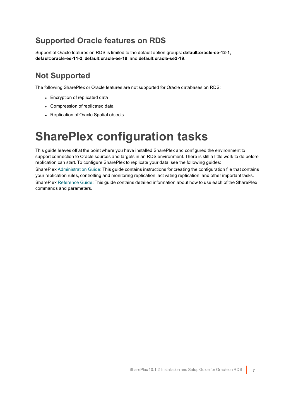## <span id="page-6-0"></span>**Supported Oracle features on RDS**

Support of Oracle features on RDS is limited to the default option groups: **default:oracle-ee-12-1**, **default:oracle-ee-11-2**, **default:oracle-ee-19**, and **default:oracle-se2-19**.

# <span id="page-6-1"></span>**Not Supported**

The following SharePlex or Oracle features are not supported for Oracle databases on RDS:

- Encryption of replicated data
- Compression of replicated data
- <span id="page-6-2"></span>• Replication of Oracle Spatial objects

# **SharePlex configuration tasks**

This guide leaves off at the point where you have installed SharePlex and configured the environment to support connection to Oracle sources and targets in an RDS environment. There is still a little work to do before replication can start. To configure SharePlex to replicate your data, see the following guides:

SharePlex [Administration](https://support.quest.com/shareplex) Guide: This guide contains instructions for creating the configuration file that contains your replication rules, controlling and monitoring replication, activating replication, and other important tasks. SharePlex [Reference](https://support.quest.com/shareplex) Guide: This guide contains detailed information about how to use each of the SharePlex commands and parameters.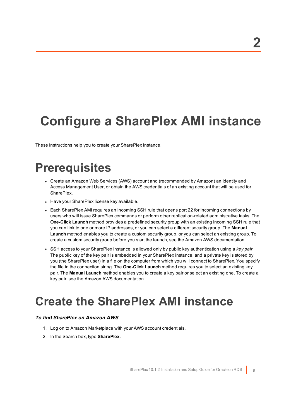# <span id="page-7-0"></span>**Configure a SharePlex AMI instance**

<span id="page-7-1"></span>These instructions help you to create your SharePlex instance.

# **Prerequisites**

- Create an Amazon Web Services (AWS) account and (recommended by Amazon) an Identity and Access Management User, or obtain the AWS credentials of an existing account that will be used for SharePlex.
- Have your SharePlex license key available.
- Each SharePlex AMI requires an incoming SSH rule that opens port 22 for incoming connections by users who will issue SharePlex commands or perform other replication-related administrative tasks. The **One-Click Launch** method provides a predefined security group with an existing incoming SSH rule that you can link to one or more IP addresses, or you can select a different security group. The **Manual Launch** method enables you to create a custom security group, or you can select an existing group. To create a custom security group before you start the launch, see the Amazon AWS documentation.
- <sup>l</sup> SSH access to your SharePlex instance is allowed only by public key authentication using a *key pair*. The public key of the key pair is embedded in your SharePlex instance, and a private key is stored by you (the SharePlex user) in a file on the computer from which you will connect to SharePlex. You specify the file in the connection string. The **One-Click Launch** method requires you to select an existing key pair. The **Manual Launch** method enables you to create a key pair or select an existing one. To create a key pair, see the Amazon AWS documentation.

# <span id="page-7-2"></span>**Create the SharePlex AMI instance**

### *To find SharePlex on Amazon AWS*

- 1. Log on to Amazon Marketplace with your AWS account credentials.
- 2. In the Search box, type **SharePlex**.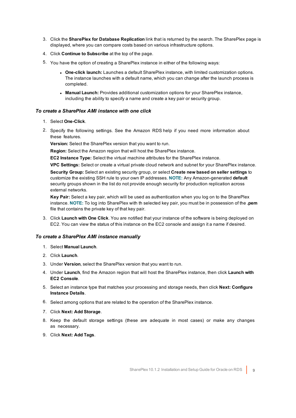- 3. Click the **SharePlex for Database Replication** link that is returned by the search. The SharePlex page is displayed, where you can compare costs based on various infrastructure options.
- 4. Click **Continue to Subscribe** at the top of the page.
- 5. You have the option of creating a SharePlex instance in either of the following ways:
	- <sup>l</sup> **One-click launch:** Launches a default SharePlex instance, with limited customization options. The instance launches with a default name, which you can change after the launch process is completed.
	- <sup>l</sup> **Manual Launch:** Provides additional customization options for your SharePlex instance, including the ability to specify a name and create a key pair or security group.

### *To create a SharePlex AMI instance with one click*

- 1. Select **One-Click**.
- 2. Specify the following settings. See the Amazon RDS help if you need more information about these features.

**Version:** Select the SharePlex version that you want to run.

**Region:** Select the Amazon region that will host the SharePlex instance.

**EC2 Instance Type:** Select the virtual machine attributes for the SharePlex instance.

**VPC Settings:** Select or create a virtual private cloud network and subnet for your SharePlex instance.

**Security Group:** Select an existing security group, or select **Create new based on seller settings** to customize the existing SSH rule to your own IP addresses. **NOTE:** Any Amazon-generated **default** security groups shown in the list do not provide enough security for production replication across external networks.

**Key Pair:** Select a key pair, which will be used as authentication when you log on to the SharePlex instance. **NOTE:** To log into SharePlex with th selected key pair, you must be in possession of the **.pem** file that contains the private key of that key pair.

3. Click **Launch with One Click**. You are notified that your instance of the software is being deployed on EC2. You can view the status of this instance on the EC2 console and assign it a name if desired.

### *To create a SharePlex AMI instance manually*

- 1. Select **Manual Launch**.
- 2. Click **Launch**.
- 3. Under **Version**, select the SharePlex version that you want to run.
- 4. Under **Launch**, find the Amazon region that will host the SharePlex instance, then click **Launch with EC2 Console**.
- 5. Select an instance type that matches your processing and storage needs, then click **Next: Configure Instance Details**.
- 6. Select among options that are related to the operation of the SharePlex instance.
- 7. Click **Next: Add Storage**.
- 8. Keep the default storage settings (these are adequate in most cases) or make any changes as necessary.
- 9. Click **Next: Add Tags**.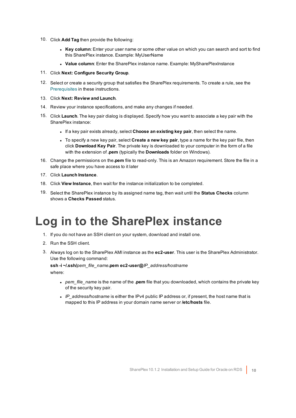- 10. Click **Add Tag** then provide the following:
	- **Key column:** Enter your user name or some other value on which you can search and sort to find this SharePlex instance. Example: MyUserName
	- <sup>l</sup> **Value column**: Enter the SharePlex instance name. Example: MySharePlexInstance
- 11. Click **Next: Configure Security Group**.
- 12. Select or create a security group that satisfies the SharePlex requirements. To create a rule, see the [Prerequisites](#page-7-1) in these instructions.
- 13. Click **Next: Review and Launch**.
- 14. Review your instance specifications, and make any changes if needed.
- 15. Click **Launch**. The key pair dialog is displayed. Specify how you want to associate a key pair with the SharePlex instance:
	- <sup>l</sup> If a key pair exists already, select **Choose an existing key pair**, then select the name.
	- <sup>l</sup> To specify a new key pair, select **Create a new key pair**, type a name for the key pair file, then click **Download Key Pair**. The private key is downloaded to your computer in the form of a file with the extension of **.pem** (typically the **Downloads** folder on Windows).
- 16. Change the permissions on the**.pem** file to read-only. This is an Amazon requirement. Store the file in a safe place where you have access to it later
- 17. Click **Launch Instance**.
- 18. Click **View Instance**, then wait for the instance initialization to be completed.
- <span id="page-9-0"></span>19. Select the SharePlex instance by its assigned name tag, then wait until the **Status Checks** column shows a **Checks Passed** status.

# **Log in to the SharePlex instance**

- 1. If you do not have an SSH client on your system, download and install one.
- 2. Run the SSH client.
- 3. Always log on to the SharePlex AMI instance as the **ec2-user**. This user is the SharePlex Administrator. Use the following command:

### **ssh -i ~/.ssh/***pem\_file\_name***.pem ec2-user@***IP\_address/hostname* where:

- <sup>l</sup> *pem\_file\_name* is the name of the **.pem** file that you downloaded, which contains the private key of the security key pair.
- IP address/hostname is either the IPv4 public IP address or, if present, the host name that is mapped to this IP address in your domain name server or **/etc/hosts** file.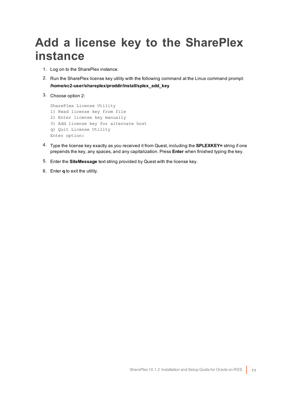# <span id="page-10-0"></span>**Add a license key to the SharePlex instance**

- 1. Log on to the SharePlex instance.
- 2. Run the SharePlex license key utility with the following command at the Linux command prompt: **/home/ec2-user/shareplex/proddir/install/splex\_add\_key**
- 3. Choose option 2:

```
SharePlex License Utility
1) Read license key from file
2) Enter license key manually
3) Add license key for alternate host
q) Quit License Utility
Enter option:
```
- 4. Type the license key exactly as you received it from Quest, including the **SPLEXKEY=** string if one prepends the key, any spaces, and any capitalization. Press **Enter** when finished typing the key.
- 5. Enter the **SiteMessage** text string provided by Quest with the license key.
- 6. Enter **q** to exit the utility.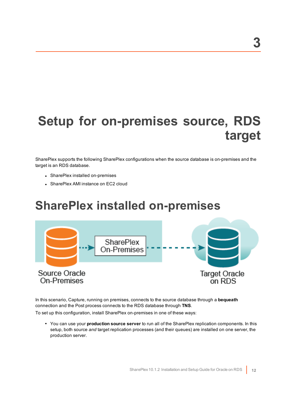# <span id="page-11-0"></span>**Setup for on-premises source, RDS target**

SharePlex supports the following SharePlex configurations when the source database is on-premises and the target is an RDS database.

- SharePlex installed on-premises
- <span id="page-11-1"></span>• SharePlex AMI instance on EC2 cloud

# **SharePlex installed on-premises**



In this scenario, Capture, running on premises, connects to the source database through a **bequeath** connection and the Post process connects to the RDS database through **TNS**.

To set up this configuration, install SharePlex on-premises in one of these ways:

<sup>l</sup> You can use your **production source server** to run all of the SharePlex replication components. In this setup, both source *and* target replication processes (and their queues) are installed on one server, the production server.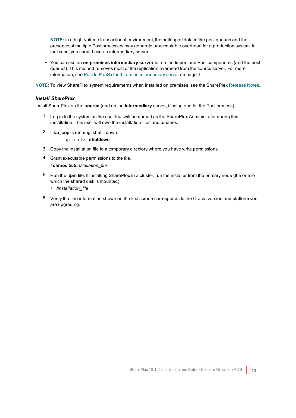**NOTE:** In a high-volume transactional environment, the buildup of data in the post queues and the presence of multiple Post processes may generate unacceptable overhead for a production system. In that case, you should use an intermediary server.

<sup>l</sup> You can use an **on-premises intermediary server** to run the Import and Post components (and the post queues). This method removes most of the replication overhead from the source server. For more information, see Post to PaaS cloud from an intermediary server on page 1.

**NOTE:** To view SharePlex system requirements when installed on premises, see the SharePlex [Release](https://support.quest.com/shareplex) Notes.

#### *Install SharePlex*

Install SharePlex on the **source** (and on the **intermediary** server, if using one for the Post process).

- 1. Log in to the system as the user that will be named as the SharePlex Administrator during this installation. This user will own the installation files and binaries.
- 2. If **sp\_cop** is running, shut it down.

sp\_ctrl> **shutdown**

- 3. Copy the installation file to a temporary directory where you have write permissions.
- 4. Grant executable permissions to the file. #**chmod 555***installation\_file*
- 5. Run the **.tpm** file. If installing SharePlex in a cluster, run the installer from the primary node (the one to which the shared disk is mounted)
	- # **./***installation\_file*
- 6. Verify that the information shown on the first screen corresponds to the Oracle version and platform you are upgrading.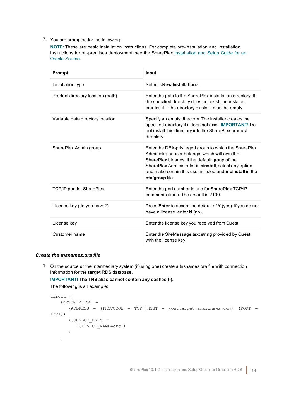### 7. You are prompted for the following:

**NOTE:** These are basic installation instructions. For complete pre-installation and installation instructions for on-premises deployment, see the SharePlex [Installation](https://support.quest.com/shareplex) and Setup Guide for an Oracle [Source](https://support.quest.com/shareplex).

| Prompt                            | Input                                                                                                                                                                                                                                                                                                                 |
|-----------------------------------|-----------------------------------------------------------------------------------------------------------------------------------------------------------------------------------------------------------------------------------------------------------------------------------------------------------------------|
| Installation type                 | Select <new installation="">.</new>                                                                                                                                                                                                                                                                                   |
| Product directory location (path) | Enter the path to the SharePlex installation directory. If<br>the specified directory does not exist, the installer<br>creates it. If the directory exists, it must be empty.                                                                                                                                         |
| Variable data directory location  | Specify an empty directory. The installer creates the<br>specified directory if it does not exist. <b>IMPORTANT!</b> Do<br>not install this directory into the SharePlex product<br>directory.                                                                                                                        |
| SharePlex Admin group             | Enter the DBA-privileged group to which the SharePlex<br>Administrator user belongs, which will own the<br>SharePlex binaries. If the default group of the<br>SharePlex Administrator is <b>oinstall</b> , select any option,<br>and make certain this user is listed under <b>oinstall</b> in the<br>etc/group file. |
| <b>TCP/IP port for SharePlex</b>  | Enter the port number to use for SharePlex TCP/IP<br>communications. The default is 2100.                                                                                                                                                                                                                             |
| License key (do you have?)        | Press <b>Enter</b> to accept the default of <b>Y</b> (yes). If you do not<br>have a license, enter N (no).                                                                                                                                                                                                            |
| License key                       | Enter the license key you received from Quest.                                                                                                                                                                                                                                                                        |
| Customer name                     | Enter the SiteMessage text string provided by Quest<br>with the license key.                                                                                                                                                                                                                                          |

### *Create the tnsnames.ora file*

1. On the source **or** the intermediary system (if using one) create a tnsnames.ora file with connection information for the **target** RDS database.

### **IMPORTANT! The TNS alias cannot contain any dashes (-).**

The following is an example:

```
target =
   (DESCRIPTION =
      (ADDRESS = (PROTOCOL = TCP)(HOST = yourtarget.amazonaws.com) (PORT =
1521))
      (CONNECT_DATA =
         (SERVICE_NAME=orcl)
      )
   )
```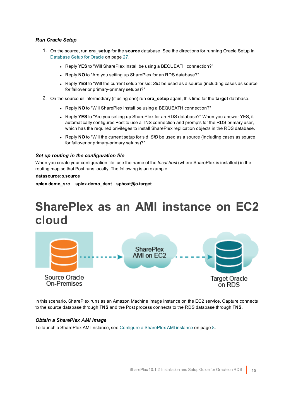### *Run Oracle Setup*

- 1. On the source, run **ora\_setup** for the **source** database. See the directions for running Oracle Setup in [Database](#page-26-0) Setup for Oracle on page 27.
	- **Reply YES** to "Will SharePlex install be using a BEQUEATH connection?"
	- **Reply NO** to "Are you setting up SharePlex for an RDS database?"
	- Reply YES to "Will the current setup for sid: *SID* be used as a source (including cases as source for failover or primary-primary setups)?"
- 2. On the source **or** intermediary (if using one) run **ora\_setup** again, this time for the **target** database.
	- **Reply NO** to "Will SharePlex install be using a BEQUEATH connection?"
	- Reply YES to "Are you setting up SharePlex for an RDS database?" When you answer YES, it automatically configures Post to use a TNS connection and prompts for the RDS primary user, which has the required privileges to install SharePlex replication objects in the RDS database.
	- Reply NO to "Will the current setup for sid: *SID* be used as a source (including cases as source for failover or primary-primary setups)?"

#### *Set up routing in the configuration file*

When you create your configuration file, use the name of the *local host* (where SharePlex is installed) in the routing map so that Post runs locally. The following is an example:

### **datasource:o.source**

<span id="page-14-0"></span>**splex.demo\_src splex.demo\_dest sphost@o.target**

# **SharePlex as an AMI instance on EC2 cloud**



In this scenario, SharePlex runs as an Amazon Machine Image instance on the EC2 service. Capture connects to the source database through **TNS** and the Post process connects to the RDS database through **TNS**.

### *Obtain a SharePlex AMI image*

To launch a SharePlex AMI instance, see Configure a [SharePlex](#page-7-0) AMI instance on page 8.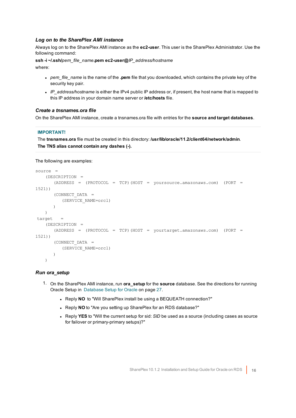### *Log on to the SharePlex AMI instance*

Always log on to the SharePlex AMI instance as the **ec2-user**. This user is the SharePlex Administrator. Use the following command:

**ssh -i ~/.ssh/***pem\_file\_name***.pem ec2-user@***IP\_address/hostname* where:

- pem\_file\_name is the name of the **.pem** file that you downloaded, which contains the private key of the security key pair.
- IP address/hostname is either the IPv4 public IP address or, if present, the host name that is mapped to this IP address in your domain name server or **/etc/hosts** file.

#### *Create a tnsnames.ora file*

On the SharePlex AMI instance, create a tnsnames.ora file with entries for the **source and target databases**.

#### **IMPORTANT!**

The **tnsnames.ora** file must be created in this directory: **/usr/lib/oracle/11.2/client64/network/admin**. **The TNS alias cannot contain any dashes (-).**

The following are examples:

```
source =
   (DESCRIPTION =
      (ADDRESS = (PROTOCOL = TCP)(HOST = yoursource.amazonaws.com) (PORT =
1521))
      (CONNECT_DATA =
         (SERVICE_NAME=orcl)
      )
   )
target =
   (DESCRIPTION =
      (ADDRESS = (PROTOCOL = TCP)(HOST = yourtarget.amazonaws.com) (PORT =
1521))
      (CONNECT_DATA =
         (SERVICE_NAME=orcl)
      )
   )
```
#### *Run ora\_setup*

- 1. On the SharePlex AMI instance, run **ora\_setup** for the **source** database. See the directions for running Oracle Setup in [Database](#page-26-0) Setup for Oracle on page 27.
	- Reply **NO** to "Will SharePlex install be using a BEQUEATH connection?"
	- **.** Reply NO to "Are you setting up SharePlex for an RDS database?"
	- Reply YES to "Will the current setup for sid: *SID* be used as a source (including cases as source for failover or primary-primary setups)?"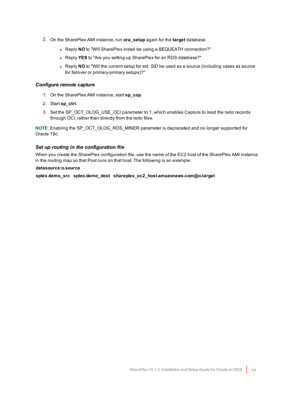- 2. On the SharePlex AMI instance, run **ora\_setup** again for the **target** database.
	- Reply NO to "Will SharePlex install be using a BEQUEATH connection?"
	- **Reply YES** to "Are you setting up SharePlex for an RDS database?"
	- Reply **NO** to "Will the current setup for sid: *SID* be used as a source (including cases as source for failover or primary-primary setups)?"

### *Configure remote capture*

- 1. On the SharePlex AMI instance, start **sp\_cop**.
- 2. Start **sp\_ctrl**.
- 3. Set the SP\_OCT\_OLOG\_USE\_OCI parameter to 1, which enables Capture to read the redo records through OCI, rather than directly from the redo files.

**NOTE**: Enabling the SP\_OCT\_OLOG\_RDS\_MINER parameter is deprecated and no longer supported for Oracle 19c.

#### *Set up routing in the configuration file*

When you create the SharePlex configuration file, use the name of the EC2 host of the SharePlex AMI instance in the routing map so that Post runs on that host. The following is an example:

#### **datasource:o.source**

**splex.demo\_src splex.demo\_dest shareplex\_ec2\_host.amazonaws.com@o.target**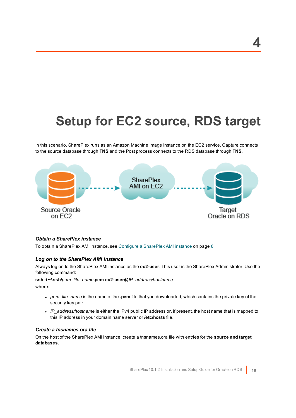# <span id="page-17-0"></span>**Setup for EC2 source, RDS target**

In this scenario, SharePlex runs as an Amazon Machine Image instance on the EC2 service. Capture connects to the source database through **TNS** and the Post process connects to the RDS database through **TNS**.



### *Obtain a SharePlex instance*

To obtain a SharePlex AMI instance, see Configure a [SharePlex](#page-7-0) AMI instance on page 8

### *Log on to the SharePlex AMI instance*

Always log on to the SharePlex AMI instance as the **ec2-user**. This user is the SharePlex Administrator. Use the following command:

#### **ssh -i ~/.ssh/***pem\_file\_name***.pem ec2-user@***IP\_address/hostname*

where:

- <sup>l</sup> *pem\_file\_name* is the name of the **.pem** file that you downloaded, which contains the private key of the security key pair.
- <sup>l</sup> *IP\_address/hostname* is either the IPv4 public IP address or, if present, the host name that is mapped to this IP address in your domain name server or **/etc/hosts** file.

### *Create a tnsnames.ora file*

On the host of the SharePlex AMI instance, create a tnsnames.ora file with entries for the **source and target databases**.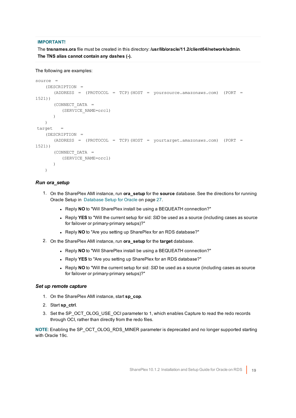### **IMPORTANT!**

The **tnsnames.ora** file must be created in this directory: **/usr/lib/oracle/11.2/client64/network/admin**. **The TNS alias cannot contain any dashes (-).**

```
The following are examples:
```

```
source =
   (DESCRIPTION =
      (ADDRESS = (PROTOCOL = TCP)(HOST = yoursource.amazonaws.com) (PORT =
1521))
      (CONNECT_DATA =
         (SERVICE_NAME=orcl)
      )
   )
\text{target} =
   (DESCRIPTION =
      (ADDRESS = (PROTOCOL = TCP)(HOST = yourtarget.amazonaws.com) (PORT =
1521))
      (CONNECT_DATA =
         (SERVICE_NAME=orcl)
      )
   )
```
### *Run ora\_setup*

- 1. On the SharePlex AMI instance, run **ora\_setup** for the **source** database. See the directions for running Oracle Setup in [Database](#page-26-0) Setup for Oracle on page 27.
	- . Reply NO to "Will SharePlex install be using a BEQUEATH connection?"
	- Reply YES to "Will the current setup for sid: *SID* be used as a source (including cases as source for failover or primary-primary setups)?"
	- Reply NO to "Are you setting up SharePlex for an RDS database?"
- 2. On the SharePlex AMI instance, run **ora\_setup** for the **target** database.
	- Reply NO to "Will SharePlex install be using a BEQUEATH connection?"
	- **.** Reply **YES** to "Are you setting up SharePlex for an RDS database?"
	- Reply NO to "Will the current setup for sid: *SID* be used as a source (including cases as source for failover or primary-primary setups)?"

### *Set up remote capture*

- 1. On the SharePlex AMI instance, start **sp\_cop**.
- 2. Start **sp\_ctrl**.
- 3. Set the SP\_OCT\_OLOG\_USE\_OCI parameter to 1, which enables Capture to read the redo records through OCI, rather than directly from the redo files.

**NOTE**: Enabling the SP\_OCT\_OLOG\_RDS\_MINER parameter is deprecated and no longer supported starting with Oracle 19c.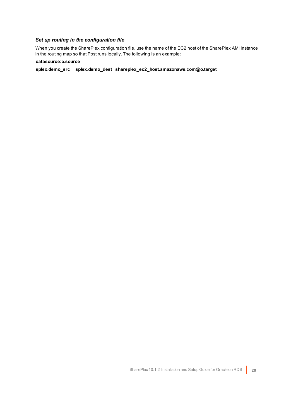## *Set up routing in the configuration file*

When you create the SharePlex configuration file, use the name of the EC2 host of the SharePlex AMI instance in the routing map so that Post runs locally. The following is an example:

### **datasource:o.source**

**splex.demo\_src splex.demo\_dest shareplex\_ec2\_host.amazonaws.com@o.target**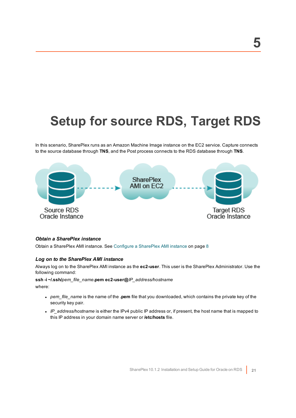# <span id="page-20-0"></span>**Setup for source RDS, Target RDS**

In this scenario, SharePlex runs as an Amazon Machine Image instance on the EC2 service. Capture connects to the source database through **TNS**, and the Post process connects to the RDS database through **TNS**.



### *Obtain a SharePlex instance*

Obtain a SharePlex AMI instance. See Configure a [SharePlex](#page-7-0) AMI instance on page 8

#### *Log on to the SharePlex AMI instance*

Always log on to the SharePlex AMI instance as the **ec2-user**. This user is the SharePlex Administrator. Use the following command:

#### **ssh -i ~/.ssh/***pem\_file\_name***.pem ec2-user@***IP\_address/hostname*

where:

- <sup>l</sup> *pem\_file\_name* is the name of the **.pem** file that you downloaded, which contains the private key of the security key pair.
- <sup>l</sup> *IP\_address/hostname* is either the IPv4 public IP address or, if present, the host name that is mapped to this IP address in your domain name server or **/etc/hosts** file.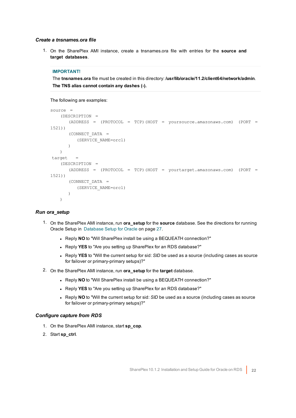#### *Create a tnsnames.ora file*

1. On the SharePlex AMI instance, create a tnsnames.ora file with entries for the **source and target databases**.

#### **IMPORTANT!**

The **tnsnames.ora** file must be created in this directory: **/usr/lib/oracle/11.2/client64/network/admin**. **The TNS alias cannot contain any dashes (-).**

The following are examples:

```
source =
   (DESCRIPTION =
      (ADDRESS = (PROTOCOL = TCP)(HOST = yoursource.amazonaws.com) (PORT =
1521))
      (CONNECT_DATA =
        (SERVICE_NAME=orcl)
      )
   )
target =(DESCRIPTION =
      (ADDRESS = (PROTOCOL = TCP)(HOST = yourtarget.amazonaws.com) (PORT =
1521))
      (CONNECT_DATA =
         (SERVICE_NAME=orcl)
      )
   \lambda
```
### *Run ora\_setup*

- 1. On the SharePlex AMI instance, run **ora\_setup** for the **source** database. See the directions for running Oracle Setup in [Database](#page-26-0) Setup for Oracle on page 27.
	- . Reply NO to "Will SharePlex install be using a BEQUEATH connection?"
	- Reply YES to "Are you setting up SharePlex for an RDS database?"
	- Reply YES to "Will the current setup for sid: *SID* be used as a source (including cases as source for failover or primary-primary setups)?"
- 2. On the SharePlex AMI instance, run **ora\_setup** for the **target** database.
	- . Reply **NO** to "Will SharePlex install be using a BEQUEATH connection?"
	- **.** Reply YES to "Are you setting up SharePlex for an RDS database?"
	- Reply NO to "Will the current setup for sid: SID be used as a source (including cases as source for failover or primary-primary setups)?"

### *Configure capture from RDS*

- 1. On the SharePlex AMI instance, start **sp\_cop**.
- 2. Start **sp\_ctrl**.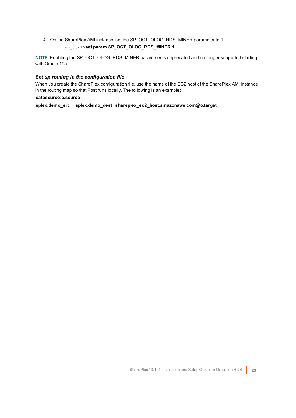3. On the SharePlex AMI instance, set the SP\_OCT\_OLOG\_RDS\_MINER parameter to **1**. sp\_ctrl>**set param SP\_OCT\_OLOG\_RDS\_MINER 1**

**NOTE:** Enabling the SP\_OCT\_OLOG\_RDS\_MINER parameter is deprecated and no longer supported starting with Oracle 19c.

### *Set up routing in the configuration file*

When you create the SharePlex configuration file, use the name of the EC2 host of the SharePlex AMI instance in the routing map so that Post runs locally. The following is an example:

### **datasource:o.source**

**splex.demo\_src splex.demo\_dest shareplex\_ec2\_host.amazonaws.com@o.target**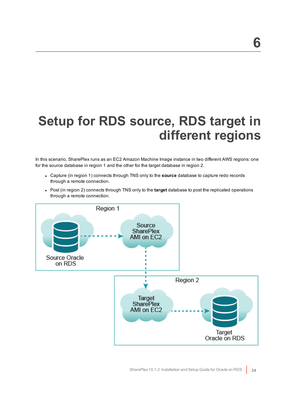# <span id="page-23-0"></span>**Setup for RDS source, RDS target in different regions**

In this scenario, SharePlex runs as an EC2 Amazon Machine Image instance in two different AWS regions: one for the source database in region 1 and the other for the target database in region 2.

- <sup>l</sup> Capture (in region 1) connects through TNS only to the **source** database to capture redo records through a remote connection.
- Post (in region 2) connects through TNS only to the **target** database to post the replicated operations through a remote connection.

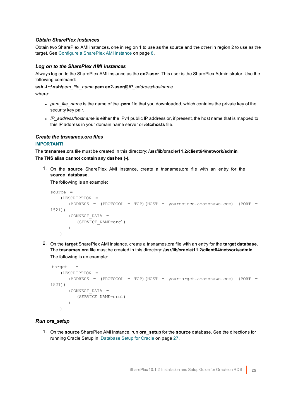### *Obtain SharePlex instances*

Obtain two SharePlex AMI instances, one in region 1 to use as the source and the other in region 2 to use as the target. See Configure a [SharePlex](#page-7-0) AMI instance on page 8.

#### *Log on to the SharePlex AMI instances*

Always log on to the SharePlex AMI instance as the **ec2-user**. This user is the SharePlex Administrator. Use the following command:

**ssh -i ~/.ssh/***pem\_file\_name***.pem ec2-user@***IP\_address/hostname*

where:

- <sup>l</sup> *pem\_file\_name* is the name of the **.pem** file that you downloaded, which contains the private key of the security key pair.
- IP\_address/hostname is either the IPv4 public IP address or, if present, the host name that is mapped to this IP address in your domain name server or **/etc/hosts** file.

#### *Create the tnsnames.ora files*

### **IMPORTANT!**

The **tnsnames.ora** file must be created in this directory: **/usr/lib/oracle/11.2/client64/network/admin**. **The TNS alias cannot contain any dashes (-).**

1. On the **source** SharePlex AMI instance, create a tnsnames.ora file with an entry for the **source database**.

The following is an example:

```
source =
   (DESCRIPTION =
      (ADDRESS = (PROTOCOL = TCP)(HOST = yoursource.amazonaws.com) (PORT =
1521))
      (CONNECT_DATA =
          (SERVICE_NAME=orcl)
      )
   )
```
2. On the **target** SharePlex AMI instance, create a tnsnames.ora file with an entry for the **target database**. The **tnsnames.ora** file must be created in this directory: **/usr/lib/oracle/11.2/client64/network/admin**. The following is an example:

```
target =
   (DESCRIPTION =
      (ADDRESS = (PROTOCOL = TCP)(HOST = yourtarget.amazonaws.com) (PORT =
1521))
      (CONNECT_DATA =
          (SERVICE_NAME=orcl)
      )
   \lambda
```
### *Run ora\_setup*

1. On the **source** SharePlex AMI instance, run **ora\_setup** for the **source** database. See the directions for running Oracle Setup in [Database](#page-26-0) Setup for Oracle on page 27.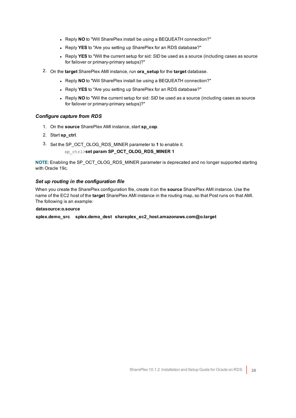- Reply **NO** to "Will SharePlex install be using a BEQUEATH connection?"
- **.** Reply **YES** to "Are you setting up SharePlex for an RDS database?"
- Reply YES to "Will the current setup for sid: *SID* be used as a source (including cases as source for failover or primary-primary setups)?"
- 2. On the **target** SharePlex AMI instance, run **ora\_setup** for the **target** database.
	- **Reply NO** to "Will SharePlex install be using a BEQUEATH connection?"
	- **.** Reply **YES** to "Are you setting up SharePlex for an RDS database?"
	- Reply NO to "Will the current setup for sid: *SID* be used as a source (including cases as source for failover or primary-primary setups)?"

### *Configure capture from RDS*

- 1. On the **source** SharePlex AMI instance, start **sp\_cop**.
- 2. Start **sp\_ctrl**.
- 3. Set the SP\_OCT\_OLOG\_RDS\_MINER parameter to **1** to enable it.

### sp\_ctrl>**set param SP\_OCT\_OLOG\_RDS\_MINER 1**

**NOTE**: Enabling the SP\_OCT\_OLOG\_RDS\_MINER parameter is deprecated and no longer supported starting with Oracle 19c.

### *Set up routing in the configuration file*

When you create the SharePlex configuration file, create it on the **source** SharePlex AMI instance. Use the name of the EC2 host of the **target** SharePlex AMI instance in the routing map, so that Post runs on that AMI. The following is an example:

#### **datasource:o.source**

**splex.demo\_src splex.demo\_dest shareplex\_ec2\_host.amazonaws.com@o.target**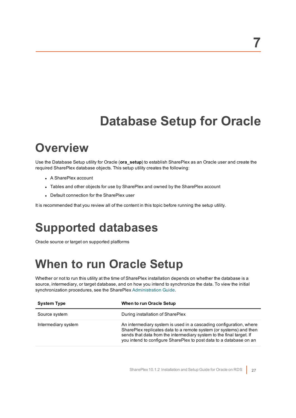# **Database Setup for Oracle**

# <span id="page-26-1"></span><span id="page-26-0"></span>**Overview**

Use the Database Setup utility for Oracle (**ora\_setup**) to establish SharePlex as an Oracle user and create the required SharePlex database objects. This setup utility creates the following:

- A SharePlex account
- Tables and other objects for use by SharePlex and owned by the SharePlex account
- Default connection for the SharePlex user

<span id="page-26-2"></span>It is recommended that you review all of the content in this topic before running the setup utility.

# **Supported databases**

<span id="page-26-3"></span>Oracle source or target on supported platforms

# **When to run Oracle Setup**

Whether or not to run this utility at the time of SharePlex installation depends on whether the database is a source, intermediary, or target database, and on how you intend to synchronize the data. To view the initial synchronization procedures, see the SharePlex [Administration](https://support.quest.com/shareplex) Guide.

| <b>System Type</b>  | When to run Oracle Setup                                                                                                                                                                                                                                                               |
|---------------------|----------------------------------------------------------------------------------------------------------------------------------------------------------------------------------------------------------------------------------------------------------------------------------------|
| Source system       | During installation of SharePlex                                                                                                                                                                                                                                                       |
| Intermediary system | An intermediary system is used in a cascading configuration, where<br>SharePlex replicates data to a remote system (or systems) and then<br>sends that data from the intermediary system to the final target. If<br>you intend to configure SharePlex to post data to a database on an |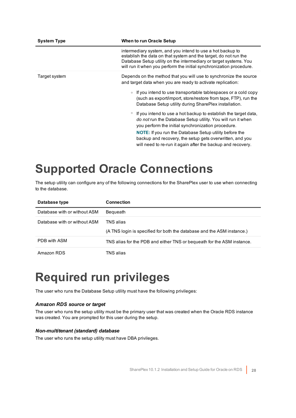| <b>System Type</b> | When to run Oracle Setup                                                                                                                                                                                                                                                                                                                                                                                                                                                                                                                                                                                                                                                                                                    |
|--------------------|-----------------------------------------------------------------------------------------------------------------------------------------------------------------------------------------------------------------------------------------------------------------------------------------------------------------------------------------------------------------------------------------------------------------------------------------------------------------------------------------------------------------------------------------------------------------------------------------------------------------------------------------------------------------------------------------------------------------------------|
|                    | intermediary system, and you intend to use a hot backup to<br>establish the data on that system and the target, do not run the<br>Database Setup utility on the intermediary or target systems. You<br>will run it when you perform the initial synchronization procedure.                                                                                                                                                                                                                                                                                                                                                                                                                                                  |
| Target system      | Depends on the method that you will use to synchronize the source<br>and target data when you are ready to activate replication:<br>If you intend to use transportable tablespaces or a cold copy<br>(such as export/import, store/restore from tape, FTP), run the<br>Database Setup utility during SharePlex installation.<br>If you intend to use a hot backup to establish the target data,<br>$\circ$<br>do not run the Database Setup utility. You will run it when<br>you perform the initial synchronization procedure.<br><b>NOTE:</b> If you run the Database Setup utility before the<br>backup and recovery, the setup gets overwritten, and you<br>will need to re-run it again after the backup and recovery. |

# <span id="page-27-0"></span>**Supported Oracle Connections**

The setup utility can configure any of the following connections for the SharePlex user to use when connecting to the database.

| Database type                | <b>Connection</b>                                                                   |
|------------------------------|-------------------------------------------------------------------------------------|
| Database with or without ASM | Bequeath                                                                            |
| Database with or without ASM | TNS alias<br>(A TNS login is specified for both the database and the ASM instance.) |
| PDB with ASM                 | TNS alias for the PDB and either TNS or bequeath for the ASM instance.              |
| Amazon RDS                   | TNS alias                                                                           |

# <span id="page-27-1"></span>**Required run privileges**

The user who runs the Database Setup utility must have the following privileges:

### *Amazon RDS source or target*

The user who runs the setup utility must be the primary user that was created when the Oracle RDS instance was created. You are prompted for this user during the setup.

### *Non-multitenant (standard) database*

The user who runs the setup utility must have DBA privileges.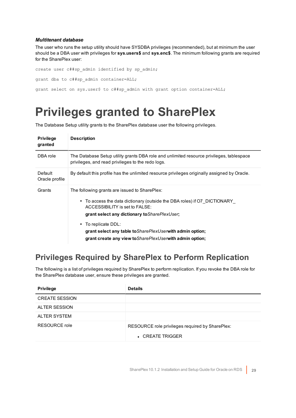### *Multitenant database*

The user who runs the setup utility should have SYSDBA privileges (recommended), but at minimum the user should be a DBA user with privileges for **sys.users\$** and **sys.enc\$**. The minimum following grants are required for the SharePlex user:

```
create user c##sp_admin identified by sp_admin;
grant dba to c##sp admin container=ALL;
grant select on sys.user$ to c##sp_admin with grant option container=ALL;
```
# <span id="page-28-0"></span>**Privileges granted to SharePlex**

The Database Setup utility grants to the SharePlex database user the following privileges.

| <b>Privilege</b><br>granted | <b>Description</b>                                                                                                                                                                                                                                                                                                                                                        |
|-----------------------------|---------------------------------------------------------------------------------------------------------------------------------------------------------------------------------------------------------------------------------------------------------------------------------------------------------------------------------------------------------------------------|
| DBA role                    | The Database Setup utility grants DBA role and unlimited resource privileges, tablespace<br>privileges, and read privileges to the redo logs.                                                                                                                                                                                                                             |
| Default<br>Oracle profile   | By default this profile has the unlimited resource privileges originally assigned by Oracle.                                                                                                                                                                                                                                                                              |
| Grants                      | The following grants are issued to SharePlex:<br>• To access the data dictionary (outside the DBA roles) if O7 DICTIONARY<br>ACCESSIBILITY is set to FALSE:<br>grant select any dictionary to Share PlexUser;<br>• To replicate DDL:<br>grant select any table to <i>Share Plex User</i> with admin option;<br>grant create any view to Share PlexUser with admin option; |

## <span id="page-28-1"></span>**Privileges Required by SharePlex to Perform Replication**

The following is a list of privileges required by SharePlex to perform replication. If you revoke the DBA role for the SharePlex database user, ensure these privileges are granted.

| <b>Privilege</b>      | <b>Details</b>                                                      |
|-----------------------|---------------------------------------------------------------------|
| <b>CREATE SESSION</b> |                                                                     |
| <b>ALTER SESSION</b>  |                                                                     |
| <b>ALTER SYSTEM</b>   |                                                                     |
| RESOURCE role         | RESOURCE role privileges required by SharePlex:<br>• CREATE TRIGGER |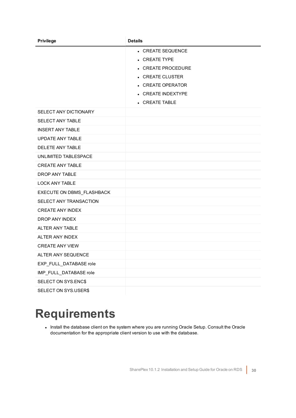| <b>Privilege</b>          | <b>Details</b>         |
|---------------------------|------------------------|
|                           | • CREATE SEQUENCE      |
|                           | • CREATE TYPE          |
|                           | • CREATE PROCEDURE     |
|                           | • CREATE CLUSTER       |
|                           | • CREATE OPERATOR      |
|                           | • CREATE INDEXTYPE     |
|                           | $\bullet$ CREATE TABLE |
| SELECT ANY DICTIONARY     |                        |
| SELECT ANY TABLE          |                        |
| <b>INSERT ANY TABLE</b>   |                        |
| <b>UPDATE ANY TABLE</b>   |                        |
| DELETE ANY TABLE          |                        |
| UNLIMITED TABLESPACE      |                        |
| <b>CREATE ANY TABLE</b>   |                        |
| DROP ANY TABLE            |                        |
| <b>LOCK ANY TABLE</b>     |                        |
| EXECUTE ON DBMS_FLASHBACK |                        |
| SELECT ANY TRANSACTION    |                        |
| <b>CREATE ANY INDEX</b>   |                        |
| DROP ANY INDEX            |                        |
| ALTER ANY TABLE           |                        |
| ALTER ANY INDEX           |                        |
| <b>CREATE ANY VIEW</b>    |                        |
| ALTER ANY SEQUENCE        |                        |
| EXP_FULL_DATABASE role    |                        |
| IMP_FULL_DATABASE role    |                        |
| SELECT ON SYS.ENC\$       |                        |
| SELECT ON SYS.USER\$      |                        |

# <span id="page-29-0"></span>**Requirements**

. Install the database client on the system where you are running Oracle Setup. Consult the Oracle documentation for the appropriate client version to use with the database.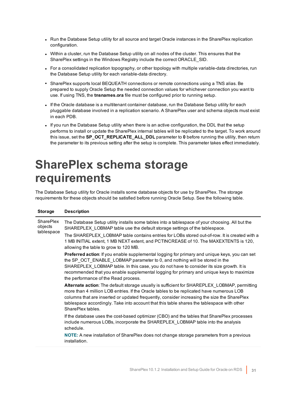- Run the Database Setup utility for all source and target Oracle instances in the SharePlex replication configuration.
- Within a cluster, run the Database Setup utility on all nodes of the cluster. This ensures that the SharePlex settings in the Windows Registry include the correct ORACLE\_SID.
- For a consolidated replication topography, or other topology with multiple variable-data directories, run the Database Setup utility for each variable-data directory.
- SharePlex supports local BEQUEATH connections or remote connections using a TNS alias. Be prepared to supply Oracle Setup the needed connection values for whichever connection you want to use. If using TNS, the **tnsnames.ora** file must be configured prior to running setup.
- <sup>l</sup> If the Oracle database is a multitenant container database, run the Database Setup utility for each pluggable database involved in a replication scenario. A SharePlex user and schema objects must exist in each PDB.
- If you run the Database Setup utility when there is an active configuration, the DDL that the setup performs to install or update the SharePlex internal tables will be replicated to the target. To work around this issue, set the **SP\_OCT\_REPLICATE\_ALL\_DDL** parameter to **0** before running the utility, then return the parameter to its previous setting after the setup is complete. This parameter takes effect immediately.

# <span id="page-30-0"></span>**SharePlex schema storage requirements**

The Database Setup utility for Oracle installs some database objects for use by SharePlex. The storage requirements for these objects should be satisfied before running Oracle Setup. See the following table.

| <b>Storage</b>                            | <b>Description</b>                                                                                                                                                                                                                                                                                                                                                                                                 |
|-------------------------------------------|--------------------------------------------------------------------------------------------------------------------------------------------------------------------------------------------------------------------------------------------------------------------------------------------------------------------------------------------------------------------------------------------------------------------|
| <b>SharePlex</b><br>objects<br>tablespace | The Database Setup utility installs some tables into a tablespace of your choosing. All but the<br>SHAREPLEX_LOBMAP table use the default storage settings of the tablespace.                                                                                                                                                                                                                                      |
|                                           | The SHAREPLEX LOBMAP table contains entries for LOBs stored out-of-row. It is created with a<br>1 MB INITIAL extent, 1 MB NEXT extent, and PCTINCREASE of 10. The MAXEXTENTS is 120,<br>allowing the table to grow to 120 MB.                                                                                                                                                                                      |
|                                           | <b>Preferred action:</b> If you enable supplemental logging for primary and unique keys, you can set<br>the SP OCT ENABLE_LOBMAP parameter to 0, and nothing will be stored in the<br>SHAREPLEX LOBMAP table. In this case, you do not have to consider its size growth. It is<br>recommended that you enable supplemental logging for primary and unique keys to maximize<br>the performance of the Read process. |
|                                           | Alternate action: The default storage usually is sufficient for SHAREPLEX_LOBMAP, permitting<br>more than 4 million LOB entries. If the Oracle tables to be replicated have numerous LOB<br>columns that are inserted or updated frequently, consider increasing the size the SharePlex<br>tablespace accordingly. Take into account that this table shares the tablespace with other<br>SharePlex tables.         |
|                                           | If the database uses the cost-based optimizer (CBO) and the tables that SharePlex processes<br>include numerous LOBs, incorporate the SHAREPLEX_LOBMAP table into the analysis<br>schedule.                                                                                                                                                                                                                        |
|                                           | <b>NOTE:</b> A new installation of SharePlex does not change storage parameters from a previous<br>installation.                                                                                                                                                                                                                                                                                                   |
|                                           |                                                                                                                                                                                                                                                                                                                                                                                                                    |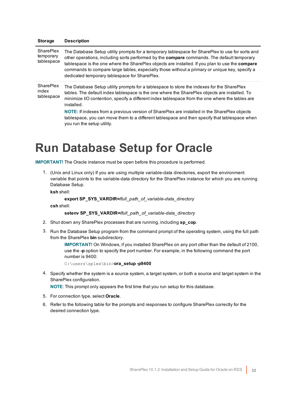| <b>Storage</b>                          | <b>Description</b>                                                                                                                                                                                                                                                                                                                                                                                                                                  |
|-----------------------------------------|-----------------------------------------------------------------------------------------------------------------------------------------------------------------------------------------------------------------------------------------------------------------------------------------------------------------------------------------------------------------------------------------------------------------------------------------------------|
| SharePlex<br>temporary<br>tablespace    | The Database Setup utility prompts for a temporary tablespace for SharePlex to use for sorts and<br>other operations, including sorts performed by the compare commands. The default temporary<br>tablespace is the one where the SharePlex objects are installed. If you plan to use the compare<br>commands to compare large tables, especially those without a primary or unique key, specify a<br>dedicated temporary tablespace for SharePlex. |
| <b>SharePlex</b><br>index<br>tablespace | The Database Setup utility prompts for a tablespace to store the indexes for the SharePlex<br>tables. The default index tablespace is the one where the SharePlex objects are installed. To<br>minimize I/O contention, specify a different index tablespace from the one where the tables are<br>installed.                                                                                                                                        |
|                                         | NOTE: If indexes from a previous version of SharePlex are installed in the SharePlex objects<br>tablespace, you can move them to a different tablespace and then specify that tablespace when<br>you run the setup utility.                                                                                                                                                                                                                         |

# <span id="page-31-0"></span>**Run Database Setup for Oracle**

**IMPORTANT!** The Oracle instance must be open before this procedure is performed.

1. (Unix and Linux only) If you are using multiple variable-data directories, export the environment variable that points to the variable-data directory for the SharePlex instance for which you are running Database Setup.

**ksh** shell:

```
export SP_SYS_VARDIR=/full_path_of_variable-data_directory
```
**csh** shell:

```
setenv SP_SYS_VARDIR=/full_path_of_variable-data_directory
```
- 2. Shut down any SharePlex processes that are running, including **sp\_cop**.
- 3. Run the Database Setup program from the command prompt of the operating system, using the full path from the SharePlex **bin** subdirectory.

**IMPORTANT!** On Windows, if you installed SharePlex on any port other than the default of 2100, use the **-p** option to specify the port number. For example, in the following command the port number is 9400:

```
C:\users\splex\bin>ora_setup -p9400
```
4. Specify whether the system is a source system, a target system, or both a source and target system in the SharePlex configuration.

**NOTE**: This prompt only appears the first time that you run setup for this database.

- 5. For connection type, select **Oracle**.
- 6. Refer to the following table for the prompts and responses to configure SharePlex correctly for the desired connection type.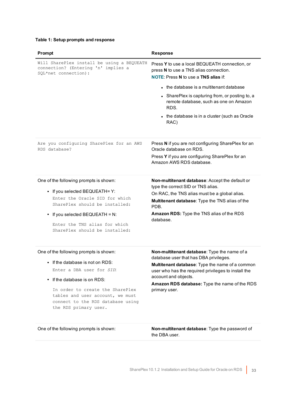## **Table 1: Setup prompts and response**

| Prompt                                                                                                                                                                                                                                                                              | <b>Response</b>                                                                                                                                                                                                                                                                            |
|-------------------------------------------------------------------------------------------------------------------------------------------------------------------------------------------------------------------------------------------------------------------------------------|--------------------------------------------------------------------------------------------------------------------------------------------------------------------------------------------------------------------------------------------------------------------------------------------|
| Will SharePlex install be using a BEQUEATH<br>connection? (Entering 'n' implies a<br>SQL*net connection):                                                                                                                                                                           | Press Y to use a local BEQUEATH connection, or<br>press N to use a TNS alias connection.<br><b>NOTE: Press N to use a TNS alias if:</b>                                                                                                                                                    |
|                                                                                                                                                                                                                                                                                     | • the database is a multitenant database                                                                                                                                                                                                                                                   |
|                                                                                                                                                                                                                                                                                     | • SharePlex is capturing from, or posting to, a<br>remote database, such as one on Amazon<br>RDS.                                                                                                                                                                                          |
|                                                                                                                                                                                                                                                                                     | • the database is in a cluster (such as Oracle<br>RAC)                                                                                                                                                                                                                                     |
| Are you configuring SharePlex for an AWS<br>RDS database?                                                                                                                                                                                                                           | Press N if you are not configuring SharePlex for an<br>Oracle database on RDS.                                                                                                                                                                                                             |
|                                                                                                                                                                                                                                                                                     | Press Y if you are configuring SharePlex for an<br>Amazon AWS RDS database.                                                                                                                                                                                                                |
| One of the following prompts is shown:<br>• If you selected BEQUEATH= Y:<br>Enter the Oracle SID for which<br>SharePlex should be installed:<br>• If you selected BEQUEATH = N:<br>Enter the TNS alias for which<br>SharePlex should be installed:                                  | Non-multitenant database: Accept the default or<br>type the correct SID or TNS alias.<br>On RAC, the TNS alias must be a global alias.<br>Multitenant database: Type the TNS alias of the<br>PDB.<br>Amazon RDS: Type the TNS alias of the RDS<br>database.                                |
| One of the following prompts is shown:<br>$\bullet$ If the database is not on RDS:<br>Enter a DBA user for SID:<br>If the database is on RDS:<br>In order to create the SharePlex<br>tables and user account, we must<br>connect to the RDS database using<br>the RDS primary user. | Non-multitenant database: Type the name of a<br>database user that has DBA privileges.<br>Multitenant database: Type the name of a common<br>user who has the required privileges to install the<br>account and objects.<br>Amazon RDS database: Type the name of the RDS<br>primary user. |

One of the following prompts is shown: **Non-multitenant database**: Type the password of the DBA user.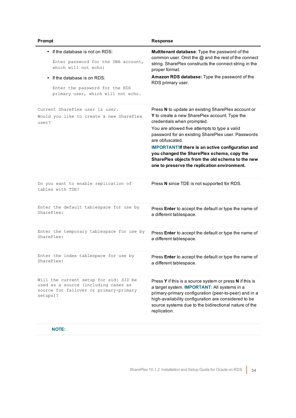| Prompt                                                                                                                               | <b>Response</b>                                                                                                                                                                                                                                                                                                                                                                                                                                                           |
|--------------------------------------------------------------------------------------------------------------------------------------|---------------------------------------------------------------------------------------------------------------------------------------------------------------------------------------------------------------------------------------------------------------------------------------------------------------------------------------------------------------------------------------------------------------------------------------------------------------------------|
| • If the database is not on RDS:<br>Enter password for the DBA account,<br>which will not echo:<br>If the database is on RDS:        | Multitenant database: Type the password of the<br>common user. Omit the @ and the rest of the connect<br>string. SharePlex constructs the connect string in the<br>proper format.<br>Amazon RDS database: Type the password of the<br>RDS primary user.                                                                                                                                                                                                                   |
| Enter the password for the RDS<br>primary user, which will not echo.                                                                 |                                                                                                                                                                                                                                                                                                                                                                                                                                                                           |
| Current SharePlex user is user.<br>Would you like to create a new SharePlex<br>user?                                                 | Press N to update an existing SharePlex account or<br>Y to create a new SharePlex account. Type the<br>credentials when prompted.<br>You are allowed five attempts to type a valid<br>password for an existing SharePlex user. Passwords<br>are obfuscated.<br><b>IMPORTANT!If there is an active configuration and</b><br>you changed the SharePlex schema, copy the<br>SharePlex objects from the old schema to the new<br>one to preserve the replication environment. |
| Do you want to enable replication of<br>tables with TDE?                                                                             | Press N since TDE is not supported for RDS.                                                                                                                                                                                                                                                                                                                                                                                                                               |
| Enter the default tablespace for use by<br>SharePlex:                                                                                | Press Enter to accept the default or type the name of<br>a different tablespace.                                                                                                                                                                                                                                                                                                                                                                                          |
| Enter the temporary tablespace for use by<br>SharePlex:                                                                              | Press Enter to accept the default or type the name of<br>a different tablespace.                                                                                                                                                                                                                                                                                                                                                                                          |
| Enter the index tablespace for use by<br>SharePlex:                                                                                  | Press Enter to accept the default or type the name of<br>a different tablespace.                                                                                                                                                                                                                                                                                                                                                                                          |
| Will the current setup for sid: SID be<br>used as a source (including cases as<br>source for failover or primary-primary<br>setups)? | Press Y if this is a source system or press N if this is<br>a target system. <b>IMPORTANT:</b> All systems in a<br>primary-primary configuration (peer-to-peer) and in a<br>high-availability configuration are considered to be<br>source systems due to the bidirectional nature of the<br>replication.                                                                                                                                                                 |

## **NOTE:**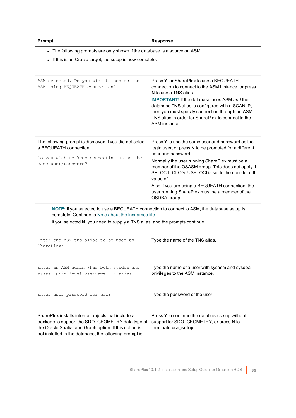| romn |
|------|
|------|

### **Prompt Response**

- The following prompts are only shown if the database is a source on ASM.

- If this is an Oracle target, the setup is now complete.

| ASM detected. Do you wish to connect to<br>ASM using BEQUEATH connection?                                                                                                                                                          | Press Y for SharePlex to use a BEQUEATH<br>connection to connect to the ASM instance, or press<br><b>N</b> to use a TNS alias.<br><b>IMPORTANT!</b> If the database uses ASM and the<br>database TNS alias is configured with a SCAN IP,<br>then you must specify connection through an ASM<br>TNS alias in order for SharePlex to connect to the<br>ASM instance.                                                          |
|------------------------------------------------------------------------------------------------------------------------------------------------------------------------------------------------------------------------------------|-----------------------------------------------------------------------------------------------------------------------------------------------------------------------------------------------------------------------------------------------------------------------------------------------------------------------------------------------------------------------------------------------------------------------------|
| The following prompt is displayed if you did not select<br>a BEQUEATH connection:<br>Do you wish to keep connecting using the<br>same user/password?                                                                               | Press Y to use the same user and password as the<br>login user, or press N to be prompted for a different<br>user and password.<br>Normally the user running SharePlex must be a<br>member of the OSASM group. This does not apply if<br>SP_OCT_OLOG_USE_OCI is set to the non-default<br>value of 1.<br>Also if you are using a BEQUEATH connection, the<br>user running SharePlex must be a member of the<br>OSDBA group. |
| NOTE: If you selected to use a BEQUEATH connection to connect to ASM, the database setup is<br>complete. Continue to Note about the tnsnames file.<br>If you selected N, you need to supply a TNS alias, and the prompts continue. |                                                                                                                                                                                                                                                                                                                                                                                                                             |
| Enter the ASM tns alias to be used by<br>SharePlex:                                                                                                                                                                                | Type the name of the TNS alias.                                                                                                                                                                                                                                                                                                                                                                                             |
| Enter an ASM admin (has both sysdba and<br>sysasm privilege) username for alias:                                                                                                                                                   | Type the name of a user with sysasm and sysdba<br>privileges to the ASM instance.                                                                                                                                                                                                                                                                                                                                           |
| Enter user password for user:                                                                                                                                                                                                      | Type the password of the user.                                                                                                                                                                                                                                                                                                                                                                                              |
| SharePlex installs internal objects that include a<br>package to support the SDO GEOMETRY data type of<br>the Oracle Spatial and Graph option. If this option is<br>not installed in the database, the following prompt is         | Press Y to continue the database setup without<br>support for SDO_GEOMETRY, or press N to<br>terminate ora_setup.                                                                                                                                                                                                                                                                                                           |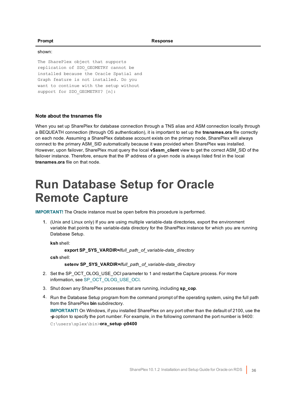#### shown:

The SharePlex object that supports replication of SDO\_GEOMETRY cannot be installed because the Oracle Spatial and Graph feature is not installed. Do you want to continue with the setup without support for SDO GEOMETRY? [n]:

### <span id="page-35-1"></span>**Note about the tnsnames file**

When you set up SharePlex for database connection through a TNS alias and ASM connection locally through a BEQUEATH connection (through OS authentication), it is important to set up the **tnsnames.ora** file correctly on each node. Assuming a SharePlex database account exists on the primary node, SharePlex will always connect to the primary ASM\_SID automatically because it was provided when SharePlex was installed. However, upon failover, SharePlex must query the local **v\$asm\_client** view to get the correct ASM\_SID of the failover instance. Therefore, ensure that the IP address of a given node is always listed first in the local **tnsnames.ora** file on that node.

# <span id="page-35-0"></span>**Run Database Setup for Oracle Remote Capture**

**IMPORTANT!** The Oracle instance must be open before this procedure is performed.

1. (Unix and Linux only) If you are using multiple variable-data directories, export the environment variable that points to the variable-data directory for the SharePlex instance for which you are running Database Setup.

**ksh** shell:

**export SP\_SYS\_VARDIR=/***full\_path\_of\_variable-data\_directory*

**csh** shell:

**setenv SP\_SYS\_VARDIR=/***full\_path\_of\_variable-data\_directory*

- 2. Set the SP\_OCT\_OLOG\_USE\_OCI parameter to 1 and restart the Capture process. For more information, see SP\_OCT\_OLOG\_USE\_OCI.
- 3. Shut down any SharePlex processes that are running, including **sp\_cop**.
- 4. Run the Database Setup program from the command prompt of the operating system, using the full path from the SharePlex **bin** subdirectory.

**IMPORTANT!** On Windows, if you installed SharePlex on any port other than the default of 2100, use the **-p** option to specify the port number. For example, in the following command the port number is 9400: C:\users\splex\bin>**ora\_setup -p9400**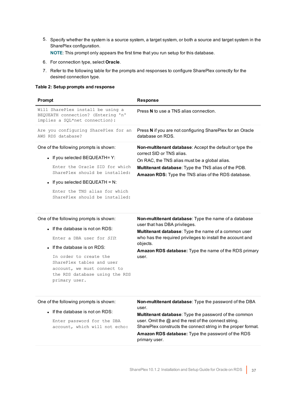5. Specify whether the system is a source system, a target system, or both a source and target system in the SharePlex configuration.

**NOTE**: This prompt only appears the first time that you run setup for this database.

- 6. For connection type, select **Oracle**.
- 7. Refer to the following table for the prompts and responses to configure SharePlex correctly for the desired connection type.

#### **Table 2: Setup prompts and response**

| Prompt                                                                                                                                                                                                                                                   | <b>Response</b>                                                                                                                                                                                                                                                            |
|----------------------------------------------------------------------------------------------------------------------------------------------------------------------------------------------------------------------------------------------------------|----------------------------------------------------------------------------------------------------------------------------------------------------------------------------------------------------------------------------------------------------------------------------|
| Will SharePlex install be using a<br>BEQUEATH connection? (Entering 'n'<br>implies a SQL*net connection):                                                                                                                                                | Press N to use a TNS alias connection.                                                                                                                                                                                                                                     |
| Are you configuring SharePlex for an<br>AWS RDS database?                                                                                                                                                                                                | Press N if you are not configuring SharePlex for an Oracle<br>database on RDS.                                                                                                                                                                                             |
| One of the following prompts is shown:<br>• If you selected BEQUEATH= $Y$ :<br>Enter the Oracle SID for which<br>SharePlex should be installed:<br>• If you selected BEQUEATH = $N$ :<br>Enter the TNS alias for which<br>SharePlex should be installed: | <b>Non-multitenant database:</b> Accept the default or type the<br>correct SID or TNS alias.<br>On RAC, the TNS alias must be a global alias.<br><b>Multitenant database:</b> Type the TNS alias of the PDB.<br><b>Amazon RDS:</b> Type the TNS alias of the RDS database. |
|                                                                                                                                                                                                                                                          |                                                                                                                                                                                                                                                                            |

#### One of the following prompts is shown:

• If the database is not on RDS:

Enter a DBA user for *SID*:

• If the database is on RDS:

In order to create the SharePlex tables and user account, we must connect to the RDS database using the RDS primary user.

**Non-multitenant database**: Type the name of a database user that has DBA privileges.

**Multitenant database**: Type the name of a common user who has the required privileges to install the account and objects.

**Amazon RDS database:** Type the name of the RDS primary user.

| One of the following prompts is shown: |  |
|----------------------------------------|--|
|----------------------------------------|--|

• If the database is not on RDS:

Enter password for the DBA account, which will not echo: **Non-multitenant database**: Type the password of the DBA user.

**Multitenant database**: Type the password of the common user. Omit the @ and the rest of the connect string. SharePlex constructs the connect string in the proper format. **Amazon RDS database:** Type the password of the RDS primary user.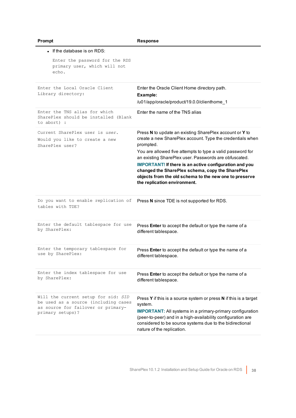| Ш<br>Ι |
|--------|
|--------|

| $\bullet$ If the database is on RDS:                                                                                                  |                                                                                                                                                                                                                                                                                                                                                                                                                                                                         |
|---------------------------------------------------------------------------------------------------------------------------------------|-------------------------------------------------------------------------------------------------------------------------------------------------------------------------------------------------------------------------------------------------------------------------------------------------------------------------------------------------------------------------------------------------------------------------------------------------------------------------|
| Enter the password for the RDS<br>primary user, which will not<br>echo.                                                               |                                                                                                                                                                                                                                                                                                                                                                                                                                                                         |
| Enter the Local Oracle Client<br>Library directory:                                                                                   | Enter the Oracle Client Home directory path.<br>Example:<br>/u01/app/oracle/product/19.0.0/clienthome_1                                                                                                                                                                                                                                                                                                                                                                 |
| Enter the TNS alias for which<br>SharePlex should be installed (Blank<br>to abort) :                                                  | Fnter the name of the TNS alias                                                                                                                                                                                                                                                                                                                                                                                                                                         |
| Current SharePlex user is user.<br>Would you like to create a new<br>SharePlex user?                                                  | Press N to update an existing SharePlex account or Y to<br>create a new SharePlex account. Type the credentials when<br>prompted.<br>You are allowed five attempts to type a valid password for<br>an existing SharePlex user. Passwords are obfuscated.<br><b>IMPORTANT!</b> If there is an active configuration and you<br>changed the SharePlex schema, copy the SharePlex<br>objects from the old schema to the new one to preserve<br>the replication environment. |
| Do you want to enable replication of<br>tables with TDE?                                                                              | Press N since TDE is not supported for RDS.                                                                                                                                                                                                                                                                                                                                                                                                                             |
| Enter the default tablespace for use<br>by SharePlex:                                                                                 | Press Enter to accept the default or type the name of a<br>different tablespace.                                                                                                                                                                                                                                                                                                                                                                                        |
| Enter the temporary tablespace for<br>use by SharePlex:                                                                               | Press Enter to accept the default or type the name of a<br>different tablespace.                                                                                                                                                                                                                                                                                                                                                                                        |
| Enter the index tablespace for use<br>by SharePlex:                                                                                   | Press Enter to accept the default or type the name of a<br>different tablespace.                                                                                                                                                                                                                                                                                                                                                                                        |
| Will the current setup for sid: SID<br>be used as a source (including cases<br>as source for failover or primary-<br>primary setups)? | Press Y if this is a source system or press N if this is a target<br>system.<br><b>IMPORTANT:</b> All systems in a primary-primary configuration<br>(peer-to-peer) and in a high-availability configuration are<br>considered to be source systems due to the bidirectional<br>nature of the replication.                                                                                                                                                               |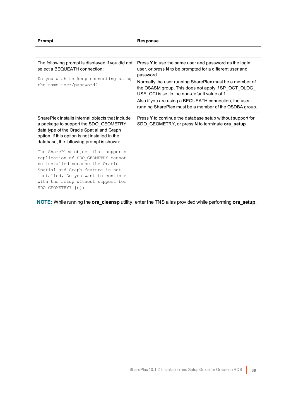| The following prompt is displayed if you did not<br>select a BEQUEATH connection:<br>Do you wish to keep connecting using<br>the same user/password?                                                                                              | Press Y to use the same user and password as the login<br>user, or press N to be prompted for a different user and<br>password.<br>Normally the user running SharePlex must be a member of<br>the OSASM group. This does not apply if SP_OCT_OLOG_<br>USE OCI is set to the non-default value of 1.<br>Also if you are using a BEQUEATH connection, the user<br>running SharePlex must be a member of the OSDBA group. |
|---------------------------------------------------------------------------------------------------------------------------------------------------------------------------------------------------------------------------------------------------|------------------------------------------------------------------------------------------------------------------------------------------------------------------------------------------------------------------------------------------------------------------------------------------------------------------------------------------------------------------------------------------------------------------------|
| SharePlex installs internal objects that include<br>a package to support the SDO GEOMETRY<br>data type of the Oracle Spatial and Graph<br>option. If this option is not installed in the<br>database, the following prompt is shown:              | Press Y to continue the database setup without support for<br>SDO GEOMETRY, or press N to terminate ora_setup.                                                                                                                                                                                                                                                                                                         |
| The SharePlex object that supports<br>replication of SDO_GEOMETRY cannot<br>be installed because the Oracle<br>Spatial and Graph feature is not<br>installed. Do you want to continue<br>with the setup without support for<br>SDO GEOMETRY? [n]: |                                                                                                                                                                                                                                                                                                                                                                                                                        |

**NOTE:** While running the **ora\_cleansp** utility, enter the TNS alias provided while performing **ora\_setup**.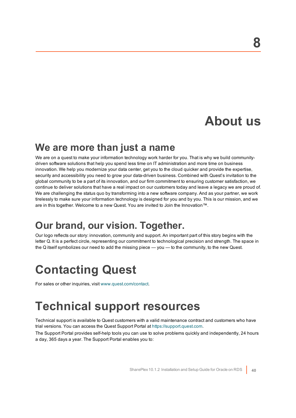# **About us**

# <span id="page-39-0"></span>**We are more than just a name**

We are on a quest to make your information technology work harder for you. That is why we build communitydriven software solutions that help you spend less time on IT administration and more time on business innovation. We help you modernize your data center, get you to the cloud quicker and provide the expertise, security and accessibility you need to grow your data-driven business. Combined with Quest's invitation to the global community to be a part of its innovation, and our firm commitment to ensuring customer satisfaction, we continue to deliver solutions that have a real impact on our customers today and leave a legacy we are proud of. We are challenging the status quo by transforming into a new software company. And as your partner, we work tirelessly to make sure your information technology is designed for you and by you. This is our mission, and we are in this together. Welcome to a new Quest. You are invited to Join the Innovation™.

# **Our brand, our vision. Together.**

Our logo reflects our story: innovation, community and support. An important part of this story begins with the letter Q. It is a perfect circle, representing our commitment to technological precision and strength. The space in the Q itself symbolizes our need to add the missing piece — you — to the community, to the new Quest.

# <span id="page-39-1"></span>**Contacting Quest**

<span id="page-39-2"></span>For sales or other inquiries, visit [www.quest.com/contact](https://www.quest.com/contact).

# **Technical support resources**

Technical support is available to Quest customers with a valid maintenance contract and customers who have trial versions. You can access the Quest Support Portal at [https://support.quest.com](https://support.quest.com/).

The Support Portal provides self-help tools you can use to solve problems quickly and independently, 24 hours a day, 365 days a year. The Support Portal enables you to: